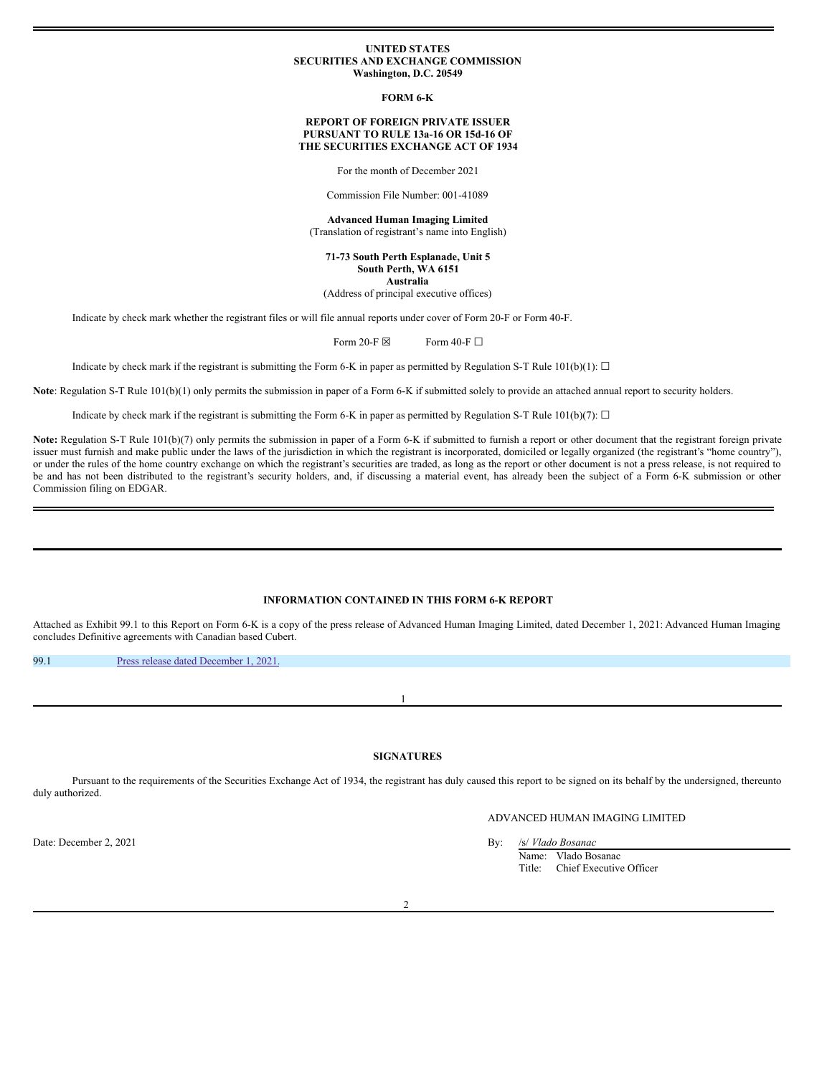#### **UNITED STATES SECURITIES AND EXCHANGE COMMISSION Washington, D.C. 20549**

**FORM 6-K**

#### **REPORT OF FOREIGN PRIVATE ISSUER PURSUANT TO RULE 13a-16 OR 15d-16 OF THE SECURITIES EXCHANGE ACT OF 1934**

For the month of December 2021

Commission File Number: 001-41089

**Advanced Human Imaging Limited** (Translation of registrant's name into English)

**71-73 South Perth Esplanade, Unit 5 South Perth, WA 6151 Australia**

(Address of principal executive offices)

Indicate by check mark whether the registrant files or will file annual reports under cover of Form 20-F or Form 40-F.

Form 20-F  $\boxtimes$  Form 40-F  $\Box$ 

Indicate by check mark if the registrant is submitting the Form 6-K in paper as permitted by Regulation S-T Rule 101(b)(1):  $\Box$ 

**Note**: Regulation S-T Rule 101(b)(1) only permits the submission in paper of a Form 6-K if submitted solely to provide an attached annual report to security holders.

Indicate by check mark if the registrant is submitting the Form 6-K in paper as permitted by Regulation S-T Rule 101(b)(7):  $\Box$ 

Note: Regulation S-T Rule 101(b)(7) only permits the submission in paper of a Form 6-K if submitted to furnish a report or other document that the registrant foreign private issuer must furnish and make public under the laws of the jurisdiction in which the registrant is incorporated, domiciled or legally organized (the registrant's "home country"), or under the rules of the home country exchange on which the registrant's securities are traded, as long as the report or other document is not a press release, is not required to be and has not been distributed to the registrant's security holders, and, if discussing a material event, has already been the subject of a Form 6-K submission or other Commission filing on EDGAR.

## **INFORMATION CONTAINED IN THIS FORM 6-K REPORT**

Attached as Exhibit 99.1 to this Report on Form 6-K is a copy of the press release of Advanced Human Imaging Limited, dated December 1, 2021: Advanced Human Imaging concludes Definitive agreements with Canadian based Cubert.

99.1 Press release dated [December](#page-2-0) 1, 2021.

**SIGNATURES**

1

Pursuant to the requirements of the Securities Exchange Act of 1934, the registrant has duly caused this report to be signed on its behalf by the undersigned, thereunto duly authorized.

# ADVANCED HUMAN IMAGING LIMITED

Name: Vlado Bosanac

Title: Chief Executive Officer

Date: December 2, 2021 **By:** /s/ *Vlado Bosanac*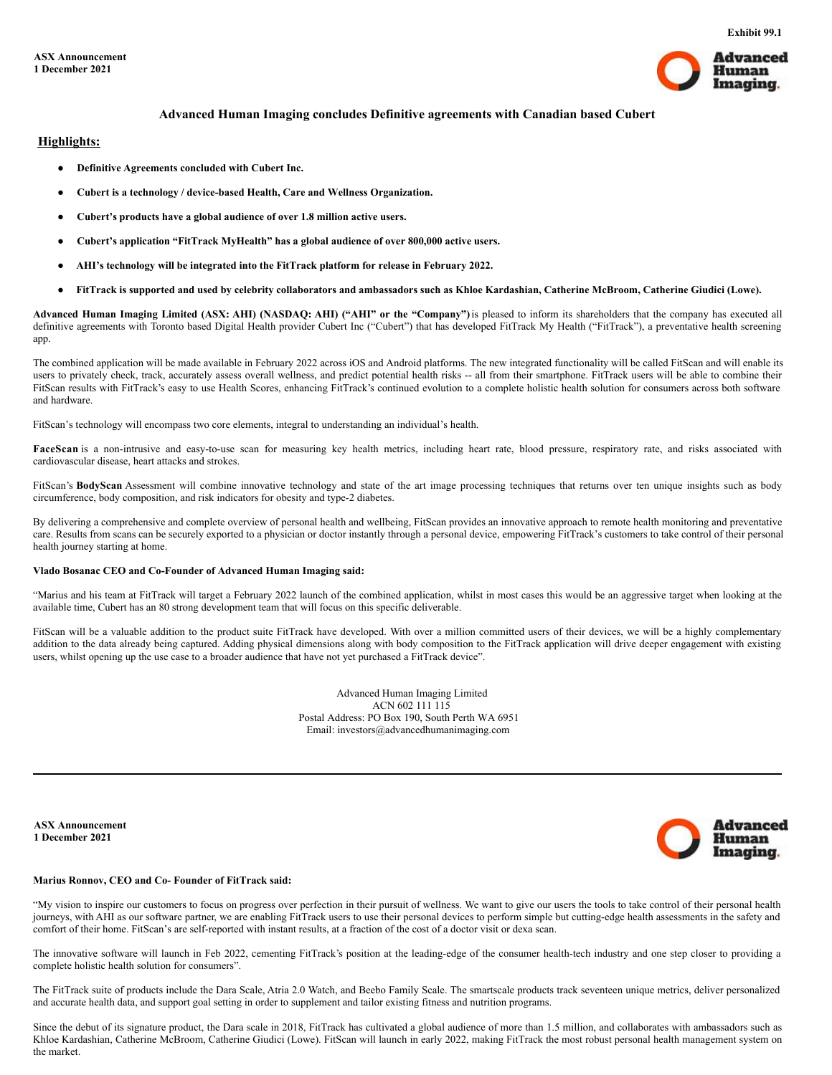

# **Advanced Human Imaging concludes Definitive agreements with Canadian based Cubert**

## **Highlights:**

- **Definitive Agreements concluded with Cubert Inc.**
- **Cubert is a technology / device-based Health, Care and Wellness Organization.**
- **Cubert's products have a global audience of over 1.8 million active users.**
- **Cubert's application "FitTrack MyHealth" has a global audience of over 800,000 active users.**
- **AHI's technology will be integrated into the FitTrack platform for release in February 2022.**
- FitTrack is supported and used by celebrity collaborators and ambassadors such as Khloe Kardashian, Catherine McBroom, Catherine Giudici (Lowe).

Advanced Human Imaging Limited (ASX: AHI) (NASDAQ: AHI) ("AHI" or the "Company") is pleased to inform its shareholders that the company has executed all definitive agreements with Toronto based Digital Health provider Cubert Inc ("Cubert") that has developed FitTrack My Health ("FitTrack"), a preventative health screening app.

The combined application will be made available in February 2022 across iOS and Android platforms. The new integrated functionality will be called FitScan and will enable its users to privately check, track, accurately assess overall wellness, and predict potential health risks -- all from their smartphone. FitTrack users will be able to combine their FitScan results with FitTrack's easy to use Health Scores, enhancing FitTrack's continued evolution to a complete holistic health solution for consumers across both software and hardware.

FitScan's technology will encompass two core elements, integral to understanding an individual's health.

FaceScan is a non-intrusive and easy-to-use scan for measuring key health metrics, including heart rate, blood pressure, respiratory rate, and risks associated with cardiovascular disease, heart attacks and strokes.

FitScan's BodyScan Assessment will combine innovative technology and state of the art image processing techniques that returns over ten unique insights such as body circumference, body composition, and risk indicators for obesity and type-2 diabetes.

By delivering a comprehensive and complete overview of personal health and wellbeing, FitScan provides an innovative approach to remote health monitoring and preventative care. Results from scans can be securely exported to a physician or doctor instantly through a personal device, empowering FitTrack's customers to take control of their personal health journey starting at home.

## **Vlado Bosanac CEO and Co-Founder of Advanced Human Imaging said:**

"Marius and his team at FitTrack will target a February 2022 launch of the combined application, whilst in most cases this would be an aggressive target when looking at the available time, Cubert has an 80 strong development team that will focus on this specific deliverable.

FitScan will be a valuable addition to the product suite FitTrack have developed. With over a million committed users of their devices, we will be a highly complementary addition to the data already being captured. Adding physical dimensions along with body composition to the FitTrack application will drive deeper engagement with existing users, whilst opening up the use case to a broader audience that have not yet purchased a FitTrack device".

> Advanced Human Imaging Limited ACN 602 111 115 Postal Address: PO Box 190, South Perth WA 6951 Email: investors@advancedhumanimaging.com

**ASX Announcement 1 December 2021**



## **Marius Ronnov, CEO and Co- Founder of FitTrack said:**

"My vision to inspire our customers to focus on progress over perfection in their pursuit of wellness. We want to give our users the tools to take control of their personal health journeys, with AHI as our software partner, we are enabling FitTrack users to use their personal devices to perform simple but cutting-edge health assessments in the safety and comfort of their home. FitScan's are self-reported with instant results, at a fraction of the cost of a doctor visit or dexa scan.

The innovative software will launch in Feb 2022, cementing FitTrack's position at the leading-edge of the consumer health-tech industry and one step closer to providing a complete holistic health solution for consumers".

The FitTrack suite of products include the Dara Scale, Atria 2.0 Watch, and Beebo Family Scale. The smartscale products track seventeen unique metrics, deliver personalized and accurate health data, and support goal setting in order to supplement and tailor existing fitness and nutrition programs.

Since the debut of its signature product, the Dara scale in 2018, FitTrack has cultivated a global audience of more than 1.5 million, and collaborates with ambassadors such as Khloe Kardashian, Catherine McBroom, Catherine Giudici (Lowe). FitScan will launch in early 2022, making FitTrack the most robust personal health management system on the market.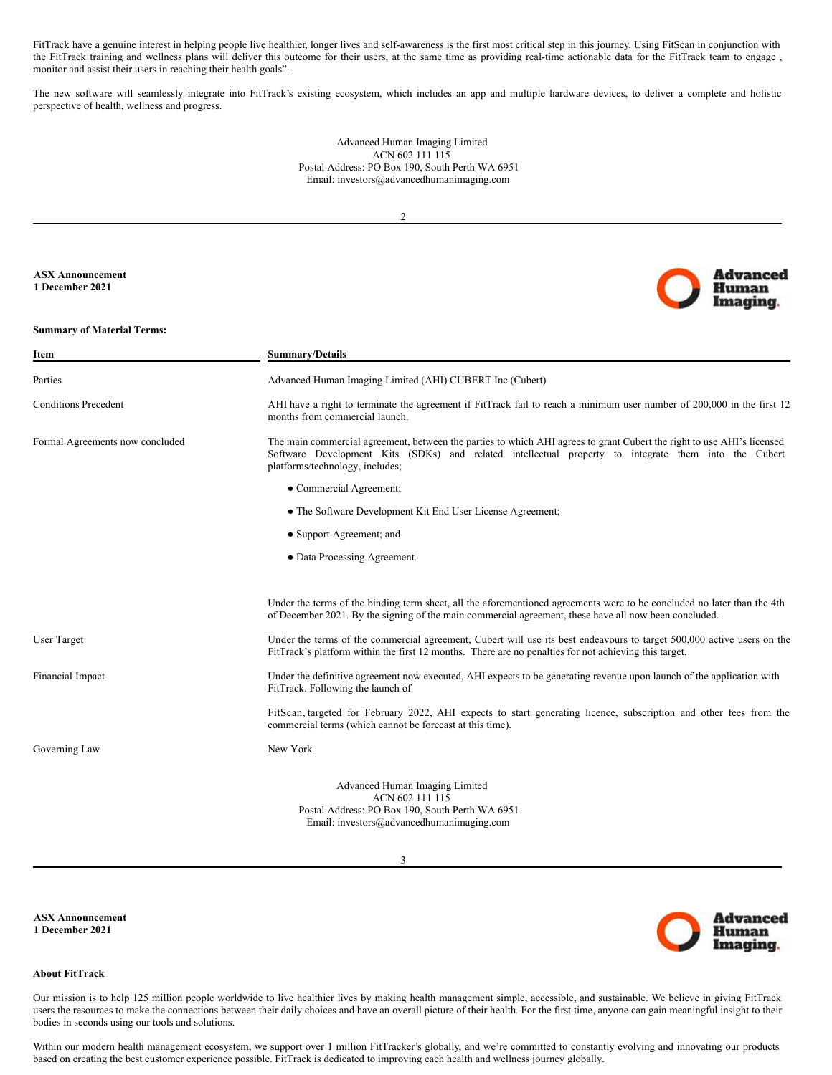<span id="page-2-0"></span>FitTrack have a genuine interest in helping people live healthier, longer lives and self-awareness is the first most critical step in this journey. Using FitScan in conjunction with the FitTrack training and wellness plans will deliver this outcome for their users, at the same time as providing real-time actionable data for the FitTrack team to engage, monitor and assist their users in reaching their health goals".

The new software will seamlessly integrate into FitTrack's existing ecosystem, which includes an app and multiple hardware devices, to deliver a complete and holistic perspective of health, wellness and progress.

> Advanced Human Imaging Limited ACN 602 111 115 Postal Address: PO Box 190, South Perth WA 6951 Email: investors@advancedhumanimaging.com

> > 2

## **ASX Announcement 1 December 2021**

#### **Summary of Material Terms:**

| Item                            | <b>Summary/Details</b>                                                                                                                                                                                                                                            |
|---------------------------------|-------------------------------------------------------------------------------------------------------------------------------------------------------------------------------------------------------------------------------------------------------------------|
| Parties                         | Advanced Human Imaging Limited (AHI) CUBERT Inc (Cubert)                                                                                                                                                                                                          |
| <b>Conditions Precedent</b>     | AHI have a right to terminate the agreement if FitTrack fail to reach a minimum user number of 200,000 in the first 12<br>months from commercial launch.                                                                                                          |
| Formal Agreements now concluded | The main commercial agreement, between the parties to which AHI agrees to grant Cubert the right to use AHI's licensed<br>Software Development Kits (SDKs) and related intellectual property to integrate them into the Cubert<br>platforms/technology, includes; |
|                                 | • Commercial Agreement;                                                                                                                                                                                                                                           |
|                                 | • The Software Development Kit End User License Agreement;                                                                                                                                                                                                        |
|                                 | • Support Agreement; and                                                                                                                                                                                                                                          |
|                                 | • Data Processing Agreement.                                                                                                                                                                                                                                      |
|                                 |                                                                                                                                                                                                                                                                   |
|                                 | Under the terms of the binding term sheet, all the aforementioned agreements were to be concluded no later than the 4th<br>of December 2021. By the signing of the main commercial agreement, these have all now been concluded.                                  |
| <b>User Target</b>              | Under the terms of the commercial agreement, Cubert will use its best endeavours to target 500,000 active users on the<br>FitTrack's platform within the first 12 months. There are no penalties for not achieving this target.                                   |
| Financial Impact                | Under the definitive agreement now executed, AHI expects to be generating revenue upon launch of the application with<br>FitTrack. Following the launch of                                                                                                        |
|                                 | FitScan, targeted for February 2022, AHI expects to start generating licence, subscription and other fees from the<br>commercial terms (which cannot be forecast at this time).                                                                                   |
| Governing Law                   | New York                                                                                                                                                                                                                                                          |
|                                 | Advanced Human Imaging Limited<br>ACN 602 111 115<br>Postal Address: PO Box 190, South Perth WA 6951<br>Email: investors@advancedhumanimaging.com                                                                                                                 |

3

**ASX Announcement 1 December 2021**



**Advanced Human** Imaging

#### **About FitTrack**

Our mission is to help 125 million people worldwide to live healthier lives by making health management simple, accessible, and sustainable. We believe in giving FitTrack users the resources to make the connections between their daily choices and have an overall picture of their health. For the first time, anyone can gain meaningful insight to their bodies in seconds using our tools and solutions.

Within our modern health management ecosystem, we support over 1 million FitTracker's globally, and we're committed to constantly evolving and innovating our products based on creating the best customer experience possible. FitTrack is dedicated to improving each health and wellness journey globally.